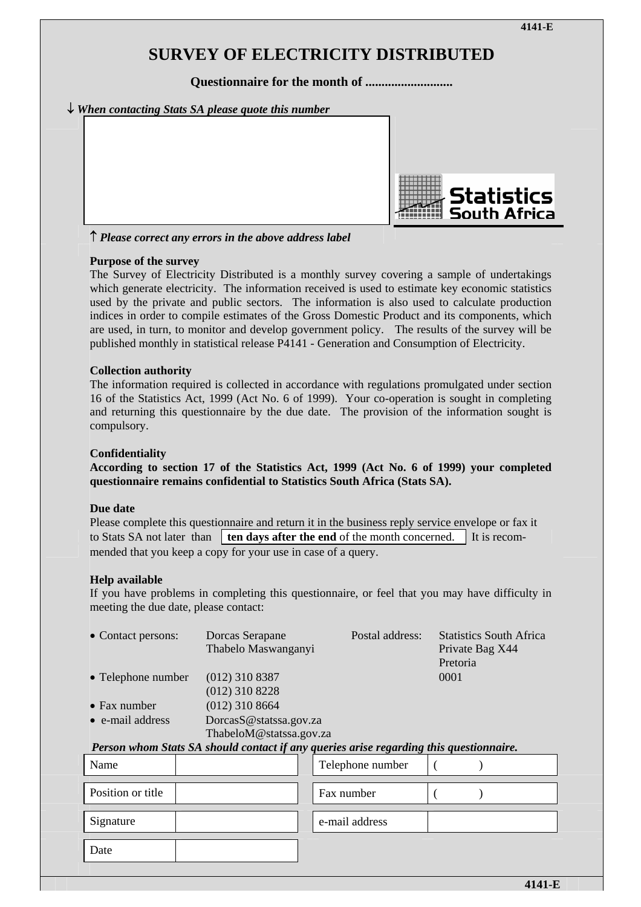# **SURVEY OF ELECTRICITY DISTRIBUTED**

**Questionnaire for the month of ...........................** 

### ↓ *When contacting Stats SA please quote this number*



↑ *Please correct any errors in the above address label*

#### **Purpose of the survey**

The Survey of Electricity Distributed is a monthly survey covering a sample of undertakings which generate electricity. The information received is used to estimate key economic statistics used by the private and public sectors. The information is also used to calculate production indices in order to compile estimates of the Gross Domestic Product and its components, which are used, in turn, to monitor and develop government policy. The results of the survey will be published monthly in statistical release P4141 - Generation and Consumption of Electricity.

#### **Collection authority**

The information required is collected in accordance with regulations promulgated under section 16 of the Statistics Act, 1999 (Act No. 6 of 1999). Your co-operation is sought in completing and returning this questionnaire by the due date. The provision of the information sought is compulsory.

#### **Confidentiality**

**According to section 17 of the Statistics Act, 1999 (Act No. 6 of 1999) your completed questionnaire remains confidential to Statistics South Africa (Stats SA).** 

#### **Due date**

Please complete this questionnaire and return it in the business reply service envelope or fax it to Stats SA not later than  $\boxed{\mathbf{ten}\mathbf{davs}\mathbf{after}\mathbf{the}\mathbf{end}$  of the month concerned. It is recommended that you keep a copy for your use in case of a query.

#### **Help available**

If you have problems in completing this questionnaire, or feel that you may have difficulty in meeting the due date, please contact:

| • Contact persons:   | Dorcas Serapane<br>Thabelo Maswanganyi            | Postal address: | <b>Statistics South Africa</b><br>Private Bag X44<br>Pretoria |
|----------------------|---------------------------------------------------|-----------------|---------------------------------------------------------------|
| • Telephone number   | $(012)$ 310 8387                                  |                 | 0001                                                          |
|                      | $(012)$ 310 8228                                  |                 |                                                               |
| $\bullet$ Fax number | $(012)$ 310 8664                                  |                 |                                                               |
| • e-mail address     | DorcasS@statssa.gov.za<br>ThabeloM@statssa.gov.za |                 |                                                               |

#### *Person whom Stats SA should contact if any queries arise regarding this questionnaire.*

| Name              | Telephone number |  |  |
|-------------------|------------------|--|--|
| Position or title | Fax number       |  |  |
| Signature         | e-mail address   |  |  |
| Date              |                  |  |  |
|                   |                  |  |  |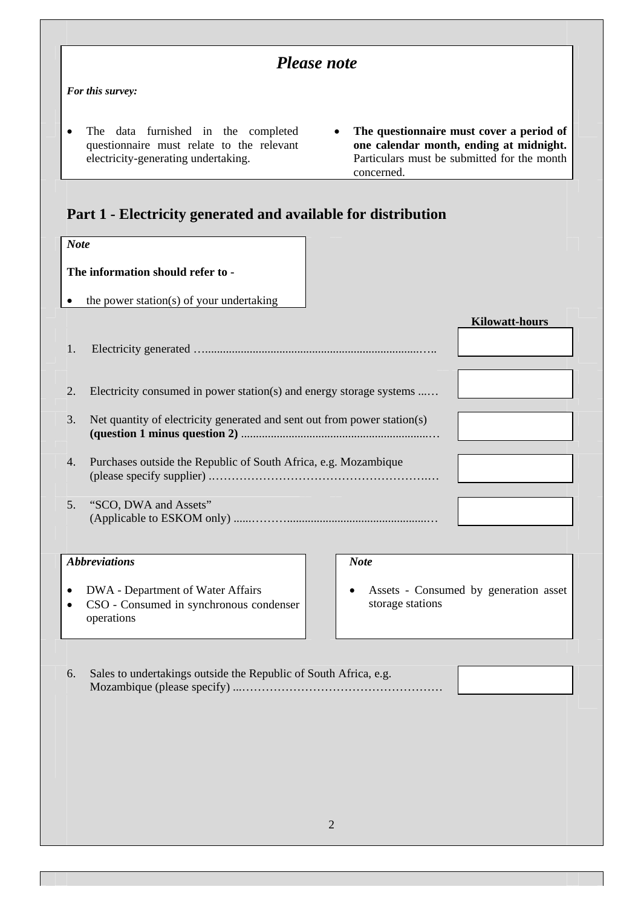|             |                                                                                                                                                                                                                                                                             | <b>Please note</b>                                        |
|-------------|-----------------------------------------------------------------------------------------------------------------------------------------------------------------------------------------------------------------------------------------------------------------------------|-----------------------------------------------------------|
|             | For this survey:                                                                                                                                                                                                                                                            |                                                           |
| $\bullet$   | The data furnished in the completed<br>The questionnaire must cover a period of<br>questionnaire must relate to the relevant<br>one calendar month, ending at midnight.<br>electricity-generating undertaking.<br>Particulars must be submitted for the month<br>concerned. |                                                           |
|             | Part 1 - Electricity generated and available for distribution                                                                                                                                                                                                               |                                                           |
| <b>Note</b> |                                                                                                                                                                                                                                                                             |                                                           |
|             | The information should refer to -<br>the power station(s) of your undertaking                                                                                                                                                                                               |                                                           |
|             |                                                                                                                                                                                                                                                                             | <b>Kilowatt-hours</b>                                     |
| 1.          |                                                                                                                                                                                                                                                                             |                                                           |
| 2.          | Electricity consumed in power station(s) and energy storage systems                                                                                                                                                                                                         |                                                           |
| 3.          | Net quantity of electricity generated and sent out from power station(s)                                                                                                                                                                                                    |                                                           |
| 4.          | Purchases outside the Republic of South Africa, e.g. Mozambique                                                                                                                                                                                                             |                                                           |
| 5.          | "SCO, DWA and Assets"                                                                                                                                                                                                                                                       |                                                           |
|             | <b>Abbreviations</b>                                                                                                                                                                                                                                                        | <b>Note</b>                                               |
|             | DWA - Department of Water Affairs<br>CSO - Consumed in synchronous condenser<br>operations                                                                                                                                                                                  | Assets - Consumed by generation asset<br>storage stations |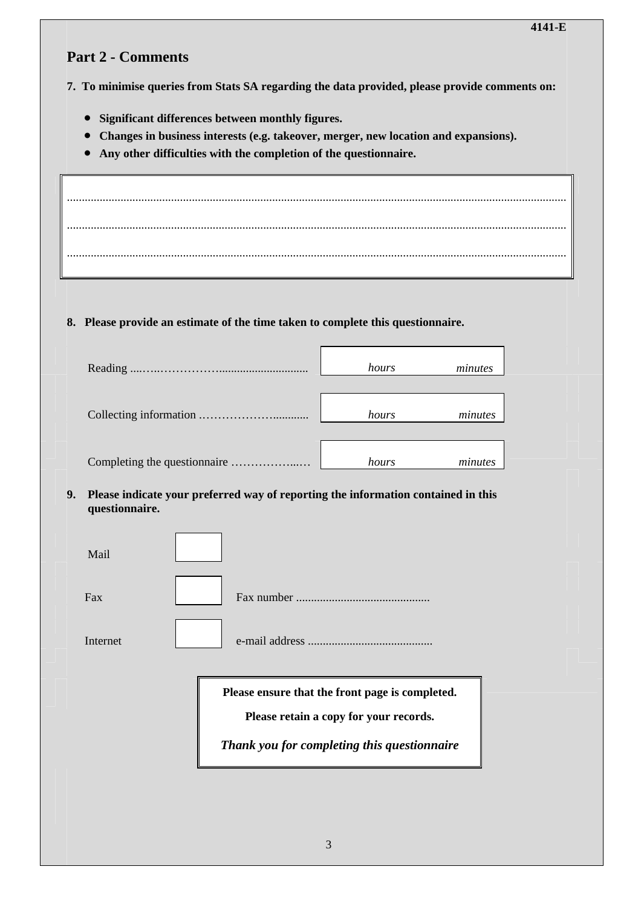## **Part 2 - Comments**

**7. To minimise queries from Stats SA regarding the data provided, please provide comments on:** 

- **Significant differences between monthly figures.**
- **Changes in business interests (e.g. takeover, merger, new location and expansions).**
- **Any other difficulties with the completion of the questionnaire.**

........................................................................................................................................................................ ........................................................................................................................................................................ ........................................................................................................................................................................

## **8. Please provide an estimate of the time taken to complete this questionnaire.**

| hours | minutes |
|-------|---------|
| hours | minutes |
| hours | minutes |

#### **9. Please indicate your preferred way of reporting the information contained in this questionnaire.**

| Mail     |                                                                                                                                          |
|----------|------------------------------------------------------------------------------------------------------------------------------------------|
| Fax      |                                                                                                                                          |
| Internet |                                                                                                                                          |
|          | Please ensure that the front page is completed.<br>Please retain a copy for your records.<br>Thank you for completing this questionnaire |
|          |                                                                                                                                          |